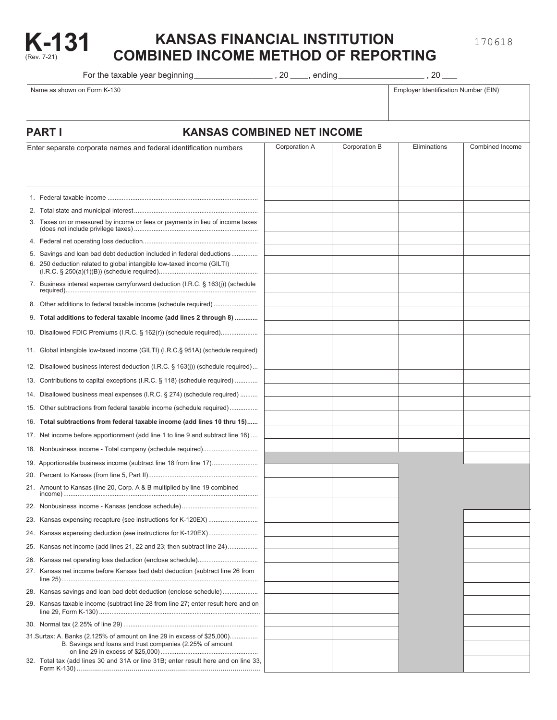

## **KANSAS FINANCIAL INSTITUTION COMBINED INCOME METHOD OF REPORTING**

For the taxable year beginning \_\_\_\_\_\_\_\_\_\_\_\_\_\_\_\_\_\_\_\_,20 \_\_\_\_\_, ending \_\_\_\_\_\_\_\_\_\_\_\_\_\_\_\_\_\_\_\_\_\_,20 \_\_\_\_

Form K-130) ...........................................................................................

|     | Name as shown on Form K-130                                                                                                           | Employer Identification Number (EIN) |               |              |                 |  |  |  |  |  |
|-----|---------------------------------------------------------------------------------------------------------------------------------------|--------------------------------------|---------------|--------------|-----------------|--|--|--|--|--|
|     | <b>PART I</b><br><b>KANSAS COMBINED NET INCOME</b>                                                                                    |                                      |               |              |                 |  |  |  |  |  |
|     | Enter separate corporate names and federal identification numbers                                                                     | Corporation A                        | Corporation B | Eliminations | Combined Income |  |  |  |  |  |
|     |                                                                                                                                       |                                      |               |              |                 |  |  |  |  |  |
|     |                                                                                                                                       |                                      |               |              |                 |  |  |  |  |  |
|     |                                                                                                                                       |                                      |               |              |                 |  |  |  |  |  |
| 3.  | Taxes on or measured by income or fees or payments in lieu of income taxes                                                            |                                      |               |              |                 |  |  |  |  |  |
|     |                                                                                                                                       |                                      |               |              |                 |  |  |  |  |  |
|     | 5. Savings and loan bad debt deduction included in federal deductions                                                                 |                                      |               |              |                 |  |  |  |  |  |
|     | 6. 250 deduction related to global intangible low-taxed income (GILTI)                                                                |                                      |               |              |                 |  |  |  |  |  |
|     | 7. Business interest expense carryforward deduction (I.R.C. § 163(j)) (schedule                                                       |                                      |               |              |                 |  |  |  |  |  |
|     | 8. Other additions to federal taxable income (schedule required)                                                                      |                                      |               |              |                 |  |  |  |  |  |
|     | 9. Total additions to federal taxable income (add lines 2 through 8)                                                                  |                                      |               |              |                 |  |  |  |  |  |
|     | 10. Disallowed FDIC Premiums (I.R.C. § 162(r)) (schedule required)                                                                    |                                      |               |              |                 |  |  |  |  |  |
|     | 11. Global intangible low-taxed income (GILTI) (I.R.C.§ 951A) (schedule required)                                                     |                                      |               |              |                 |  |  |  |  |  |
|     | 12. Disallowed business interest deduction (I.R.C. § 163(j)) (schedule required)                                                      |                                      |               |              |                 |  |  |  |  |  |
| 13. | Contributions to capital exceptions (I.R.C. § 118) (schedule required)                                                                |                                      |               |              |                 |  |  |  |  |  |
|     | 14. Disallowed business meal expenses (I.R.C. § 274) (schedule required)                                                              |                                      |               |              |                 |  |  |  |  |  |
| 15. | Other subtractions from federal taxable income (schedule required)                                                                    |                                      |               |              |                 |  |  |  |  |  |
|     | 16. Total subtractions from federal taxable income (add lines 10 thru 15)                                                             |                                      |               |              |                 |  |  |  |  |  |
|     | 17. Net income before apportionment (add line 1 to line 9 and subtract line 16)                                                       |                                      |               |              |                 |  |  |  |  |  |
|     | 18. Nonbusiness income - Total company (schedule required)                                                                            |                                      |               |              |                 |  |  |  |  |  |
|     | 19. Apportionable business income (subtract line 18 from line 17)                                                                     |                                      |               |              |                 |  |  |  |  |  |
|     |                                                                                                                                       |                                      |               |              |                 |  |  |  |  |  |
|     | 21. Amount to Kansas (line 20, Corp. A & B multiplied by line 19 combined<br>income).                                                 |                                      |               |              |                 |  |  |  |  |  |
|     |                                                                                                                                       |                                      |               |              |                 |  |  |  |  |  |
|     | 23. Kansas expensing recapture (see instructions for K-120EX)                                                                         |                                      |               |              |                 |  |  |  |  |  |
| 24. |                                                                                                                                       |                                      |               |              |                 |  |  |  |  |  |
|     | 25. Kansas net income (add lines 21, 22 and 23; then subtract line 24)                                                                |                                      |               |              |                 |  |  |  |  |  |
| 26. | Kansas net operating loss deduction (enclose schedule)                                                                                |                                      |               |              |                 |  |  |  |  |  |
|     | 27. Kansas net income before Kansas bad debt deduction (subtract line 26 from                                                         |                                      |               |              |                 |  |  |  |  |  |
|     | 28. Kansas savings and loan bad debt deduction (enclose schedule)                                                                     |                                      |               |              |                 |  |  |  |  |  |
|     | 29. Kansas taxable income (subtract line 28 from line 27; enter result here and on                                                    |                                      |               |              |                 |  |  |  |  |  |
|     |                                                                                                                                       |                                      |               |              |                 |  |  |  |  |  |
|     | 31. Surtax: A. Banks (2.125% of amount on line 29 in excess of \$25,000)<br>B. Savings and loans and trust companies (2.25% of amount |                                      |               |              |                 |  |  |  |  |  |
|     | 32. Total tax (add lines 30 and 31A or line 31B; enter result here and on line 33,                                                    |                                      |               |              |                 |  |  |  |  |  |